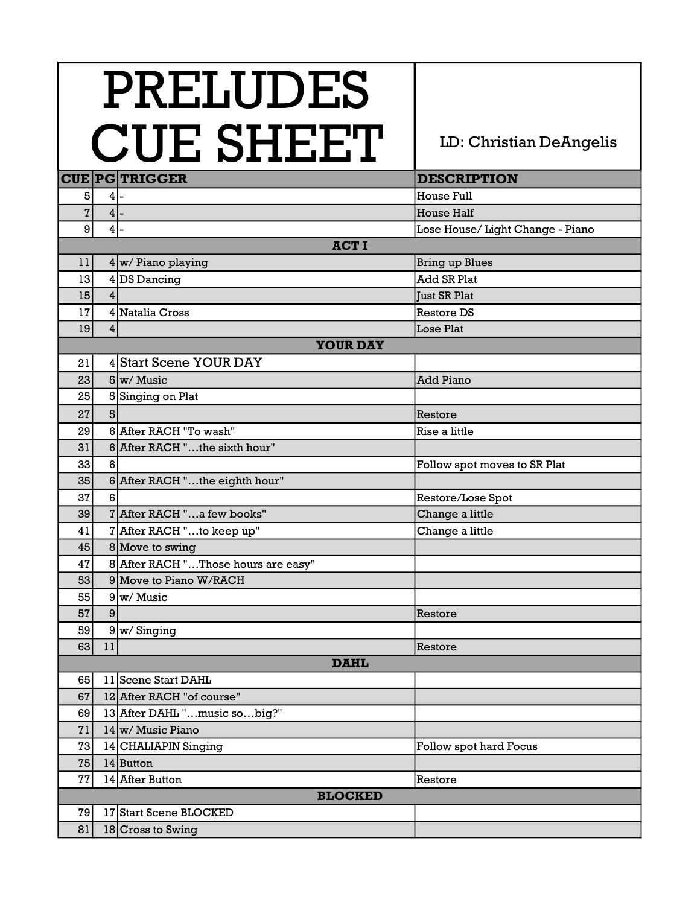## CIIF SHEFT | LD: Christian DeAngelis PRELUDES

|                |                 | /ULI NIILLIL                        |                                  |  |
|----------------|-----------------|-------------------------------------|----------------------------------|--|
|                |                 | <b>CUE PG TRIGGER</b>               | <b>DESCRIPTION</b>               |  |
| 5              | 4               |                                     | House Full                       |  |
| 7              | $4$ -           |                                     | <b>House Half</b>                |  |
| 9              | $\vert 4 \vert$ |                                     | Lose House/ Light Change - Piano |  |
|                |                 | <b>ACTI</b>                         |                                  |  |
| 11             |                 | $4 \vert w$ / Piano playing         | <b>Bring up Blues</b>            |  |
| 13             | 4               | DS Dancing                          | <b>Add SR Plat</b>               |  |
| 15             | $\overline{4}$  |                                     | <b>Just SR Plat</b>              |  |
| 17             |                 | 4 Natalia Cross                     | <b>Restore DS</b>                |  |
| 19             | 4 <sup>1</sup>  |                                     | Lose Plat                        |  |
|                |                 | <b>YOUR DAY</b>                     |                                  |  |
| 21             |                 | 4 Start Scene YOUR DAY              |                                  |  |
| 23             |                 | $5\vert w/M$ usic                   | <b>Add Piano</b>                 |  |
| 25             |                 | 5 Singing on Plat                   |                                  |  |
| 27             | 5 <sup>1</sup>  |                                     | Restore                          |  |
| 29             |                 | 6 After RACH "To wash"              | Rise a little                    |  |
| 31             |                 | 6 After RACH "the sixth hour"       |                                  |  |
| 33             | 6               |                                     | Follow spot moves to SR Plat     |  |
| 35             |                 | 6 After RACH "the eighth hour"      |                                  |  |
| 37             | 6 <sup>1</sup>  |                                     | Restore/Lose Spot                |  |
| 39             |                 | 7 After RACH "a few books"          | Change a little                  |  |
| 41             |                 | 7 After RACH "to keep up"           | Change a little                  |  |
| 45             |                 | 8 Move to swing                     |                                  |  |
| 47             |                 | 8 After RACH "Those hours are easy" |                                  |  |
| 53             |                 | 9 Move to Piano W/RACH              |                                  |  |
| 55             |                 | $9 w/M$ usic                        |                                  |  |
| 57             | 9               |                                     | Restore                          |  |
| 59             |                 | $9 w/$ Singing                      |                                  |  |
| 63             | 11              |                                     | Restore                          |  |
|                |                 | <b>DAHL</b>                         |                                  |  |
| 65             |                 | 11 Scene Start DAHL                 |                                  |  |
| 67             |                 | 12 After RACH "of course"           |                                  |  |
| 69             |                 | 13 After DAHL "music sobig?"        |                                  |  |
| 71             |                 | $14 \vert w$ / Music Piano          |                                  |  |
| 73             |                 | 14 CHALIAPIN Singing                | Follow spot hard Focus           |  |
| 75             |                 | 14 Button                           |                                  |  |
| 77             |                 | 14 After Button                     | Restore                          |  |
| <b>BLOCKED</b> |                 |                                     |                                  |  |
| 79             |                 | 17 Start Scene BLOCKED              |                                  |  |
| 81             |                 | 18 Cross to Swing                   |                                  |  |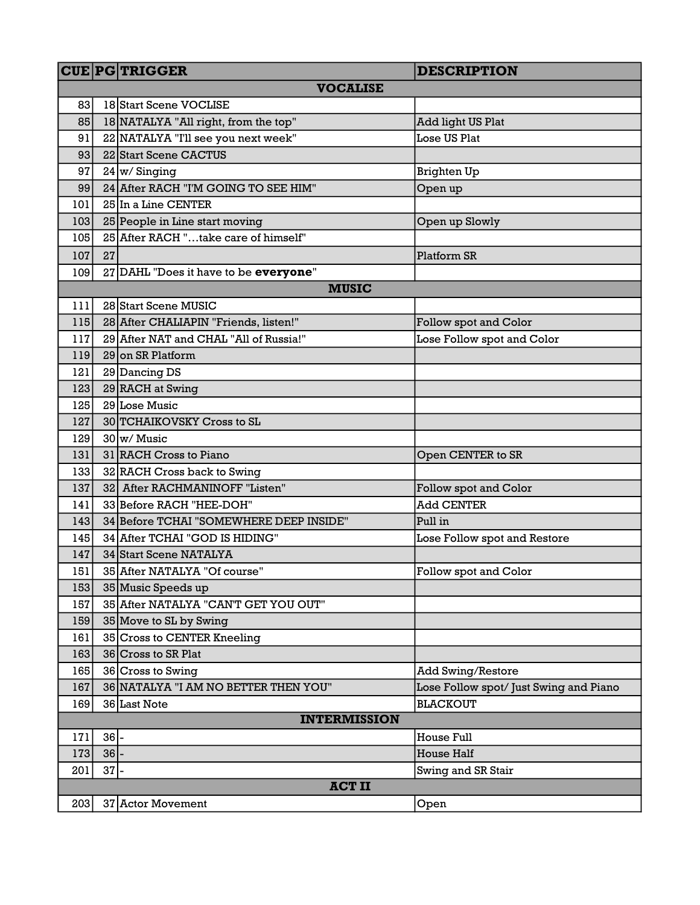|               |                 | <b>CUE PG TRIGGER</b>                   | <b>DESCRIPTION</b>                     |  |  |
|---------------|-----------------|-----------------------------------------|----------------------------------------|--|--|
|               | <b>VOCALISE</b> |                                         |                                        |  |  |
| 83            |                 | 18 Start Scene VOCLISE                  |                                        |  |  |
| 85            |                 | 18 NATALYA "All right, from the top"    | Add light US Plat                      |  |  |
| 91            |                 | 22 NATALYA "I'll see you next week"     | Lose US Plat                           |  |  |
| 93            |                 | 22 Start Scene CACTUS                   |                                        |  |  |
| 97            |                 | $24 \vert w/$ Singing                   | <b>Brighten Up</b>                     |  |  |
| 99            |                 | 24 After RACH "I'M GOING TO SEE HIM"    | Open up                                |  |  |
| 101           |                 | 25 In a Line CENTER                     |                                        |  |  |
| 103           |                 | 25 People in Line start moving          | Open up Slowly                         |  |  |
| 105           |                 | 25 After RACH "take care of himself"    |                                        |  |  |
| 107           | 27              |                                         | Platform SR                            |  |  |
| 109           |                 | 27 DAHL "Does it have to be everyone"   |                                        |  |  |
|               |                 | <b>MUSIC</b>                            |                                        |  |  |
| 111           |                 | 28 Start Scene MUSIC                    |                                        |  |  |
| 115           |                 | 28 After CHALIAPIN "Friends, listen!"   | Follow spot and Color                  |  |  |
| 117           |                 | 29 After NAT and CHAL "All of Russia!"  | Lose Follow spot and Color             |  |  |
| 119           |                 | 29 on SR Platform                       |                                        |  |  |
| 121           |                 | 29 Dancing DS                           |                                        |  |  |
| 123           |                 | 29 RACH at Swing                        |                                        |  |  |
| 125           |                 | 29 Lose Music                           |                                        |  |  |
| 127           |                 | 30 TCHAIKOVSKY Cross to SL              |                                        |  |  |
| 129           |                 | $30 \vert w$ / Music                    |                                        |  |  |
| 131           |                 | 31 RACH Cross to Piano                  | Open CENTER to SR                      |  |  |
| 133           |                 | 32 RACH Cross back to Swing             |                                        |  |  |
| 137           |                 | 32 After RACHMANINOFF "Listen"          | Follow spot and Color                  |  |  |
| 141           |                 | 33 Before RACH "HEE-DOH"                | <b>Add CENTER</b>                      |  |  |
| 143           |                 | 34 Before TCHAI "SOMEWHERE DEEP INSIDE" | Pull in                                |  |  |
| 145           |                 | 34 After TCHAI "GOD IS HIDING"          | Lose Follow spot and Restore           |  |  |
| 147           |                 | 34 Start Scene NATALYA                  |                                        |  |  |
| 151           |                 | 35 After NATALYA "Of course"            | Follow spot and Color                  |  |  |
| 153           |                 | 35 Music Speeds up                      |                                        |  |  |
| 157           |                 | 35 After NATALYA "CAN'T GET YOU OUT"    |                                        |  |  |
| 159           |                 | 35 Move to SL by Swing                  |                                        |  |  |
| 161           |                 | 35 Cross to CENTER Kneeling             |                                        |  |  |
| 163           |                 | 36 Cross to SR Plat                     |                                        |  |  |
| 165           |                 | 36 Cross to Swing                       | <b>Add Swing/Restore</b>               |  |  |
| 167           |                 | 36 NATALYA "I AM NO BETTER THEN YOU"    | Lose Follow spot/ Just Swing and Piano |  |  |
| 169           |                 | 36 Last Note                            | <b>BLACKOUT</b>                        |  |  |
|               |                 | <b>INTERMISSION</b>                     |                                        |  |  |
| 171           | $36$ -          |                                         | House Full                             |  |  |
| 173           | $36$ -          |                                         | <b>House Half</b>                      |  |  |
| 201           | $37$ -          |                                         | Swing and SR Stair                     |  |  |
| <b>ACT II</b> |                 |                                         |                                        |  |  |
| 203           |                 | 37 Actor Movement                       | Open                                   |  |  |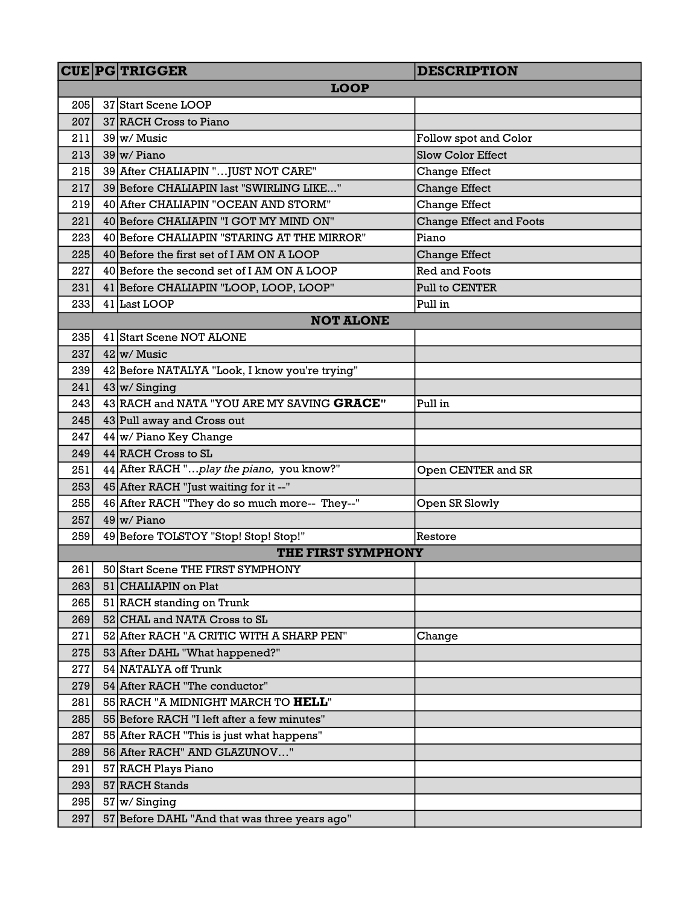|     |    | <b>CUE PG TRIGGER</b>                          | <b>DESCRIPTION</b>             |
|-----|----|------------------------------------------------|--------------------------------|
|     |    | <b>LOOP</b>                                    |                                |
| 205 |    | 37 Start Scene LOOP                            |                                |
| 207 |    | 37 RACH Cross to Piano                         |                                |
| 211 |    | 39 w/ Music                                    | Follow spot and Color          |
| 213 |    | 39 w/ Piano                                    | <b>Slow Color Effect</b>       |
| 215 |    | 39 After CHALIAPIN "JUST NOT CARE"             | <b>Change Effect</b>           |
| 217 |    | 39 Before CHALIAPIN last "SWIRLING LIKE"       | <b>Change Effect</b>           |
| 219 |    | 40 After CHALIAPIN "OCEAN AND STORM"           | <b>Change Effect</b>           |
| 221 |    | 40 Before CHALIAPIN "I GOT MY MIND ON"         | <b>Change Effect and Foots</b> |
| 223 |    | 40 Before CHALIAPIN "STARING AT THE MIRROR"    | Piano                          |
| 225 |    | 40 Before the first set of I AM ON A LOOP      | <b>Change Effect</b>           |
| 227 |    | 40 Before the second set of I AM ON A LOOP     | <b>Red and Foots</b>           |
| 231 |    | 41 Before CHALIAPIN "LOOP, LOOP, LOOP"         | Pull to CENTER                 |
| 233 |    | 41 Last LOOP                                   | Pull in                        |
|     |    | <b>NOT ALONE</b>                               |                                |
| 235 |    | 41 Start Scene NOT ALONE                       |                                |
| 237 |    | $42 \vert w \rangle$ Music                     |                                |
| 239 |    | 42 Before NATALYA "Look, I know you're trying" |                                |
| 241 |    | $43 \vert w /$ Singing                         |                                |
| 243 |    | 43 RACH and NATA "YOU ARE MY SAVING GRACE"     | Pull in                        |
| 245 |    | 43 Pull away and Cross out                     |                                |
| 247 |    | $44 \vert w$ Piano Key Change                  |                                |
| 249 |    | 44 RACH Cross to SL                            |                                |
| 251 |    | 44 After RACH "play the piano, you know?"      | Open CENTER and SR             |
| 253 |    | 45 After RACH "Just waiting for it --"         |                                |
| 255 |    | 46 After RACH "They do so much more-- They--"  | Open SR Slowly                 |
| 257 |    | $49 \vert w$ / Piano                           |                                |
| 259 |    | 49 Before TOLSTOY "Stop! Stop! Stop!"          | Restore                        |
|     |    | THE FIRST SYMPHONY                             |                                |
| 261 |    | 50 Start Scene THE FIRST SYMPHONY              |                                |
| 263 |    | 51 CHALIAPIN on Plat                           |                                |
| 265 | 51 | RACH standing on Trunk                         |                                |
| 269 |    | 52 CHAL and NATA Cross to SL                   |                                |
| 271 |    | 52 After RACH "A CRITIC WITH A SHARP PEN"      | Change                         |
| 275 |    | 53 After DAHL "What happened?"                 |                                |
| 277 |    | 54 NATALYA off Trunk                           |                                |
| 279 |    | 54 After RACH "The conductor"                  |                                |
| 281 |    | 55 RACH "A MIDNIGHT MARCH TO <b>HELL</b> "     |                                |
| 285 |    | 55 Before RACH "I left after a few minutes"    |                                |
| 287 |    | 55 After RACH "This is just what happens"      |                                |
| 289 |    | 56 After RACH" AND GLAZUNOV"                   |                                |
| 291 |    | 57 RACH Plays Piano                            |                                |
| 293 |    | 57 RACH Stands                                 |                                |
| 295 |    | $57 \vert w /$ Singing                         |                                |
| 297 |    | 57 Before DAHL "And that was three years ago"  |                                |